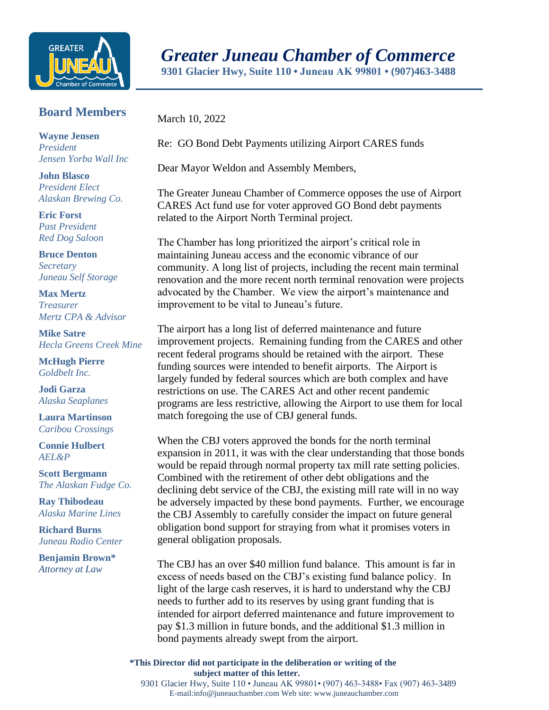

## *Greater Juneau Chamber of Commerce*

**9301 Glacier Hwy, Suite 110 • Juneau AK 99801 • (907)463-3488** 

**Board Members**

**Wayne Jensen** *President Jensen Yorba Wall Inc*

**John Blasco** *President Elect Alaskan Brewing Co.*

**Eric Forst** *Past President Red Dog Saloon*

**Bruce Denton** *Secretary Juneau Self Storage*

**Max Mertz** *Treasurer Mertz CPA & Advisor*

**Mike Satre**  *Hecla Greens Creek Mine*

**McHugh Pierre** *Goldbelt Inc.*

**Jodi Garza** *Alaska Seaplanes*

**Laura Martinson** *Caribou Crossings*

**Connie Hulbert**  *AEL&P* 

**Scott Bergmann** *The Alaskan Fudge Co.*

**Ray Thibodeau** *Alaska Marine Lines*

**Richard Burns** *Juneau Radio Center*

**Benjamin Brown\*** *Attorney at Law*

March 10, 2022

Re: GO Bond Debt Payments utilizing Airport CARES funds

Dear Mayor Weldon and Assembly Members,

The Greater Juneau Chamber of Commerce opposes the use of Airport CARES Act fund use for voter approved GO Bond debt payments related to the Airport North Terminal project.

The Chamber has long prioritized the airport's critical role in maintaining Juneau access and the economic vibrance of our community. A long list of projects, including the recent main terminal renovation and the more recent north terminal renovation were projects advocated by the Chamber. We view the airport's maintenance and improvement to be vital to Juneau's future.

The airport has a long list of deferred maintenance and future improvement projects. Remaining funding from the CARES and other recent federal programs should be retained with the airport. These funding sources were intended to benefit airports. The Airport is largely funded by federal sources which are both complex and have restrictions on use. The CARES Act and other recent pandemic programs are less restrictive, allowing the Airport to use them for local match foregoing the use of CBJ general funds.

When the CBJ voters approved the bonds for the north terminal expansion in 2011, it was with the clear understanding that those bonds would be repaid through normal property tax mill rate setting policies. Combined with the retirement of other debt obligations and the declining debt service of the CBJ, the existing mill rate will in no way be adversely impacted by these bond payments. Further, we encourage the CBJ Assembly to carefully consider the impact on future general obligation bond support for straying from what it promises voters in general obligation proposals.

The CBJ has an over \$40 million fund balance. This amount is far in excess of needs based on the CBJ's existing fund balance policy. In light of the large cash reserves, it is hard to understand why the CBJ needs to further add to its reserves by using grant funding that is intended for airport deferred maintenance and future improvement to pay \$1.3 million in future bonds, and the additional \$1.3 million in bond payments already swept from the airport.

**\*This Director did not participate in the deliberation or writing of the subject matter of this letter.**

9301 Glacier Hwy, Suite 110 • Juneau AK 99801• (907) 463-3488• Fax (907) 463-3489 E-mail:info@juneauchamber.com Web site: www.juneauchamber.com